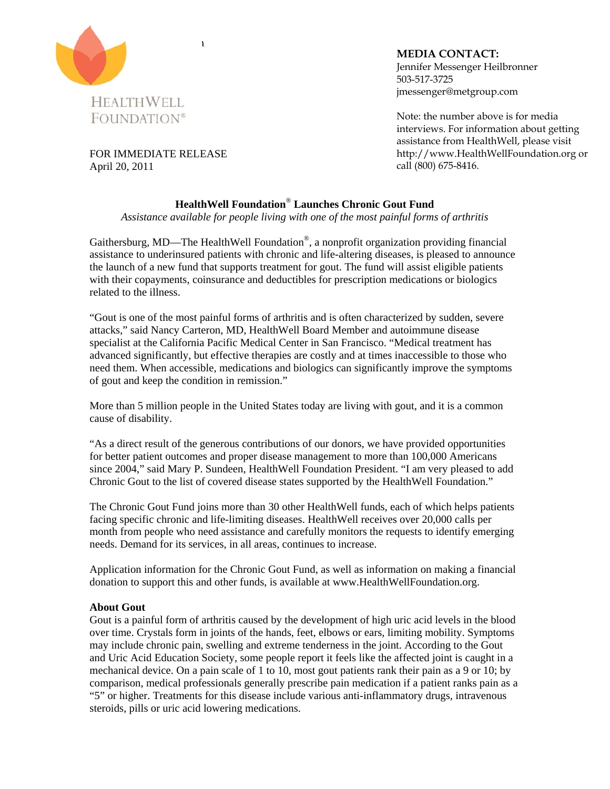

**MEDIA CONTACT:** Jennifer Messenger Heilbronner 503-517-3725 jmessenger@metgroup.com

Note: the number above is for media interviews. For information about getting assistance from HealthWell, please visit http://www.HealthWellFoundation.org or call (800) 675-8416.

FOR IMMEDIATE RELEASE April 20, 2011

## **HealthWell Foundation**® **Launches Chronic Gout Fund**

*Assistance available for people living with one of the most painful forms of arthritis* 

Gaithersburg, MD—The HealthWell Foundation®, a nonprofit organization providing financial assistance to underinsured patients with chronic and life-altering diseases, is pleased to announce the launch of a new fund that supports treatment for gout. The fund will assist eligible patients with their copayments, coinsurance and deductibles for prescription medications or biologics related to the illness.

"Gout is one of the most painful forms of arthritis and is often characterized by sudden, severe attacks," said Nancy Carteron, MD, HealthWell Board Member and autoimmune disease specialist at the California Pacific Medical Center in San Francisco. "Medical treatment has advanced significantly, but effective therapies are costly and at times inaccessible to those who need them. When accessible, medications and biologics can significantly improve the symptoms of gout and keep the condition in remission."

More than 5 million people in the United States today are living with gout, and it is a common cause of disability.

"As a direct result of the generous contributions of our donors, we have provided opportunities for better patient outcomes and proper disease management to more than 100,000 Americans since 2004," said Mary P. Sundeen, HealthWell Foundation President. "I am very pleased to add Chronic Gout to the list of covered disease states supported by the HealthWell Foundation."

The Chronic Gout Fund joins more than 30 other HealthWell funds, each of which helps patients facing specific chronic and life-limiting diseases. HealthWell receives over 20,000 calls per month from people who need assistance and carefully monitors the requests to identify emerging needs. Demand for its services, in all areas, continues to increase.

Application information for the Chronic Gout Fund, as well as information on making a financial donation to support this and other funds, is available at www.HealthWellFoundation.org.

## **About Gout**

Gout is a painful form of arthritis caused by the development of high uric acid levels in the blood over time. Crystals form in joints of the hands, feet, elbows or ears, limiting mobility. Symptoms may include chronic pain, swelling and extreme tenderness in the joint. According to the Gout and Uric Acid Education Society, some people report it feels like the affected joint is caught in a mechanical device. On a pain scale of 1 to 10, most gout patients rank their pain as a 9 or 10; by comparison, medical professionals generally prescribe pain medication if a patient ranks pain as a "5" or higher. Treatments for this disease include various anti-inflammatory drugs, intravenous steroids, pills or uric acid lowering medications.